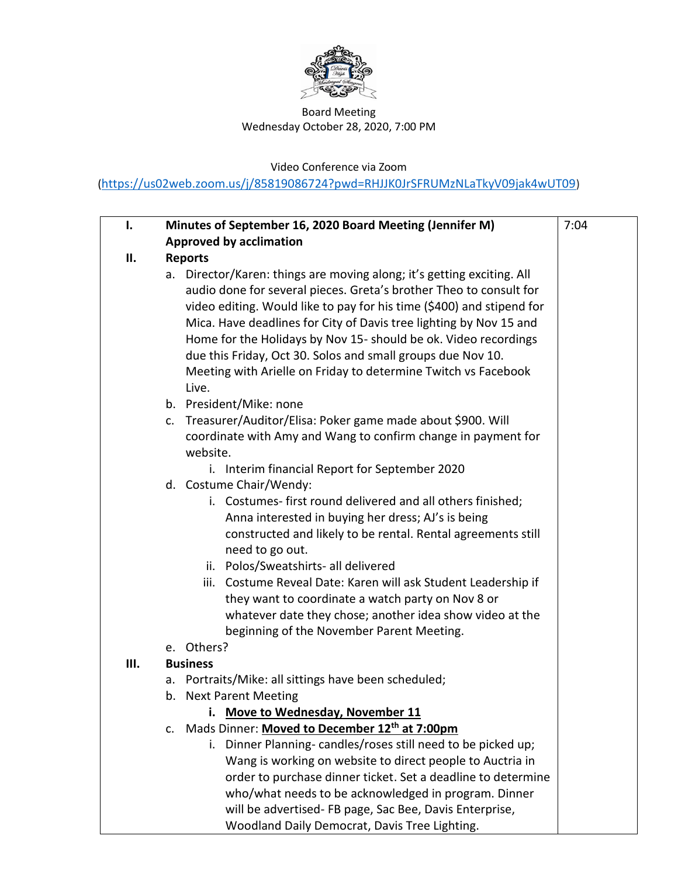

## Board Meeting Wednesday October 28, 2020, 7:00 PM

Video Conference via Zoom

(<https://us02web.zoom.us/j/85819086724?pwd=RHJJK0JrSFRUMzNLaTkyV09jak4wUT09>)

| I.  | Minutes of September 16, 2020 Board Meeting (Jennifer M)                                                                                                                                                                                                                                                                                                                                                                                                                                                                                                                                                                                                                                               | 7:04 |
|-----|--------------------------------------------------------------------------------------------------------------------------------------------------------------------------------------------------------------------------------------------------------------------------------------------------------------------------------------------------------------------------------------------------------------------------------------------------------------------------------------------------------------------------------------------------------------------------------------------------------------------------------------------------------------------------------------------------------|------|
|     |                                                                                                                                                                                                                                                                                                                                                                                                                                                                                                                                                                                                                                                                                                        |      |
|     | <b>Approved by acclimation</b>                                                                                                                                                                                                                                                                                                                                                                                                                                                                                                                                                                                                                                                                         |      |
| ΙΙ. | <b>Reports</b><br>a. Director/Karen: things are moving along; it's getting exciting. All<br>audio done for several pieces. Greta's brother Theo to consult for<br>video editing. Would like to pay for his time (\$400) and stipend for<br>Mica. Have deadlines for City of Davis tree lighting by Nov 15 and<br>Home for the Holidays by Nov 15- should be ok. Video recordings<br>due this Friday, Oct 30. Solos and small groups due Nov 10.<br>Meeting with Arielle on Friday to determine Twitch vs Facebook<br>Live.<br>b. President/Mike: none<br>Treasurer/Auditor/Elisa: Poker game made about \$900. Will<br>C.<br>coordinate with Amy and Wang to confirm change in payment for<br>website. |      |
|     | i. Interim financial Report for September 2020<br>d. Costume Chair/Wendy:<br>i. Costumes-first round delivered and all others finished;<br>Anna interested in buying her dress; AJ's is being<br>constructed and likely to be rental. Rental agreements still<br>need to go out.<br>ii. Polos/Sweatshirts- all delivered<br>iii. Costume Reveal Date: Karen will ask Student Leadership if<br>they want to coordinate a watch party on Nov 8 or<br>whatever date they chose; another idea show video at the<br>beginning of the November Parent Meeting.                                                                                                                                               |      |
|     | e. Others?                                                                                                                                                                                                                                                                                                                                                                                                                                                                                                                                                                                                                                                                                             |      |
| Ш.  | <b>Business</b>                                                                                                                                                                                                                                                                                                                                                                                                                                                                                                                                                                                                                                                                                        |      |
|     | a. Portraits/Mike: all sittings have been scheduled;                                                                                                                                                                                                                                                                                                                                                                                                                                                                                                                                                                                                                                                   |      |
|     | b. Next Parent Meeting                                                                                                                                                                                                                                                                                                                                                                                                                                                                                                                                                                                                                                                                                 |      |
|     | Move to Wednesday, November 11                                                                                                                                                                                                                                                                                                                                                                                                                                                                                                                                                                                                                                                                         |      |
|     | c. Mads Dinner: Moved to December 12th at 7:00pm<br>i. Dinner Planning-candles/roses still need to be picked up;<br>Wang is working on website to direct people to Auctria in<br>order to purchase dinner ticket. Set a deadline to determine<br>who/what needs to be acknowledged in program. Dinner<br>will be advertised- FB page, Sac Bee, Davis Enterprise,<br>Woodland Daily Democrat, Davis Tree Lighting.                                                                                                                                                                                                                                                                                      |      |